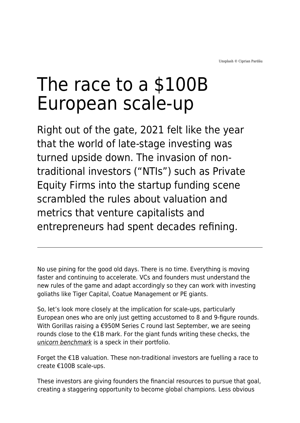# The race to a \$100B European scale-up

Right out of the gate, 2021 felt like the year that the world of late-stage investing was turned upside down. The invasion of nontraditional investors ("NTIs") such as Private Equity Firms into the startup funding scene scrambled the rules about valuation and metrics that venture capitalists and entrepreneurs had spent decades refining.

No use pining for the good old days. There is no time. Everything is moving faster and continuing to accelerate. VCs and founders must understand the new rules of the game and adapt accordingly so they can work with investing goliaths like Tiger Capital, Coatue Management or PE giants.

So, let's look more closely at the implication for scale-ups, particularly European ones who are only just getting accustomed to 8 and 9-figure rounds. With Gorillas raising a €950M Series C round last September, we are seeing rounds close to the €1B mark. For the giant funds writing these checks, the [unicorn benchmark](https://www.maddyness.com/uk/2021/09/23/the-uks-first-100-startup-unicorns-a-retrospective/) is a speck in their portfolio.

Forget the €1B valuation. These non-traditional investors are fuelling a race to create €100B scale-ups.

These investors are giving founders the financial resources to pursue that goal, creating a staggering opportunity to become global champions. Less obvious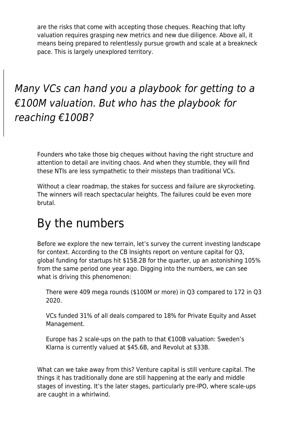are the risks that come with accepting those cheques. Reaching that lofty valuation requires grasping new metrics and new due diligence. Above all, it means being prepared to relentlessly pursue growth and scale at a breakneck pace. This is largely unexplored territory.

#### Many VCs can hand you a playbook for getting to a  $€100M$  valuation. But who has the playbook for reaching €100B?

Founders who take those big cheques without having the right structure and attention to detail are inviting chaos. And when they stumble, they will find these NTIs are less sympathetic to their missteps than traditional VCs.

Without a clear roadmap, the stakes for success and failure are skyrocketing. The winners will reach spectacular heights. The failures could be even more brutal.

## By the numbers

Before we explore the new terrain, let's survey the current investing landscape for context. According to the CB Insights report on venture capital for Q3, global funding for startups hit \$158.2B for the quarter, up an astonishing 105% from the same period one year ago. Digging into the numbers, we can see what is driving this phenomenon:

There were 409 mega rounds (\$100M or more) in Q3 compared to 172 in Q3 2020.

VCs funded 31% of all deals compared to 18% for Private Equity and Asset Management.

Europe has 2 scale-ups on the path to that €100B valuation: Sweden's Klarna is currently valued at \$45.6B, and Revolut at \$33B.

What can we take away from this? Venture capital is still venture capital. The things it has traditionally done are still happening at the early and middle stages of investing. It's the later stages, particularly pre-IPO, where scale-ups are caught in a whirlwind.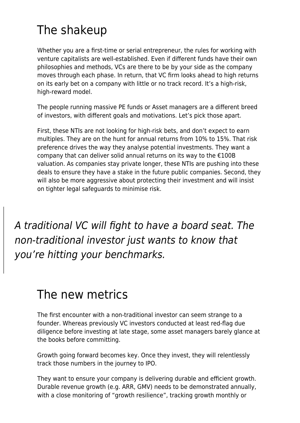# The shakeup

Whether you are a first-time or serial entrepreneur, the rules for working with venture capitalists are well-established. Even if different funds have their own philosophies and methods, VCs are there to be by your side as the company moves through each phase. In return, that VC firm looks ahead to high returns on its early bet on a company with little or no track record. It's a high-risk, high-reward model.

The people running massive PE funds or Asset managers are a different breed of investors, with different goals and motivations. Let's pick those apart.

First, these NTIs are not looking for high-risk bets, and don't expect to earn multiples. They are on the hunt for annual returns from 10% to 15%. That risk preference drives the way they analyse potential investments. They want a company that can deliver solid annual returns on its way to the €100B valuation. As companies stay private longer, these NTIs are pushing into these deals to ensure they have a stake in the future public companies. Second, they will also be more aggressive about protecting their investment and will insist on tighter legal safeguards to minimise risk.

A traditional VC will fight to have a board seat. The non-traditional investor just wants to know that you're hitting your benchmarks.

### The new metrics

The first encounter with a non-traditional investor can seem strange to a founder. Whereas previously VC investors conducted at least red-flag due diligence before investing at late stage, some asset managers barely glance at the books before committing.

Growth going forward becomes key. Once they invest, they will relentlessly track those numbers in the journey to IPO.

They want to ensure your company is delivering durable and efficient growth. Durable revenue growth (e.g. ARR, GMV) needs to be demonstrated annually, with a close monitoring of "growth resilience", tracking growth monthly or